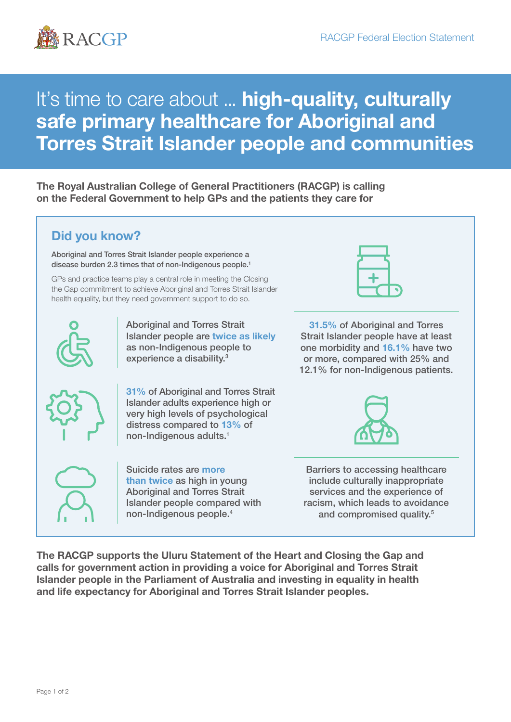

# It's time to care about ... high-quality, culturally safe primary healthcare for Aboriginal and Torres Strait Islander people and communities

The Royal Australian College of General Practitioners (RACGP) is calling on the Federal Government to help GPs and the patients they care for

## Did you know?

Aboriginal and Torres Strait Islander people experience a disease burden 2.3 times that of non-Indigenous people.<sup>1</sup>

GPs and practice teams play a central role in meeting the Closing the Gap commitment to achieve Aboriginal and Torres Strait Islander health equality, but they need government support to do so.



Aboriginal and Torres Strait Islander people are twice as likely as non-Indigenous people to experience a disability.<sup>3</sup>



31% of Aboriginal and Torres Strait Islander adults experience high or very high levels of psychological distress compared to 13% of non-Indigenous adults.1



Suicide rates are more than twice as high in young Aboriginal and Torres Strait Islander people compared with non-Indigenous people.4



31.5% of Aboriginal and Torres Strait Islander people have at least one morbidity and 16.1% have two or more, compared with 25% and 12.1% for non-Indigenous patients.



Barriers to accessing healthcare include culturally inappropriate services and the experience of racism, which leads to avoidance and compromised quality.<sup>5</sup>

The RACGP supports the Uluru Statement of the Heart and Closing the Gap and calls for government action in providing a voice for Aboriginal and Torres Strait Islander people in the Parliament of Australia and investing in equality in health and life expectancy for Aboriginal and Torres Strait Islander peoples.